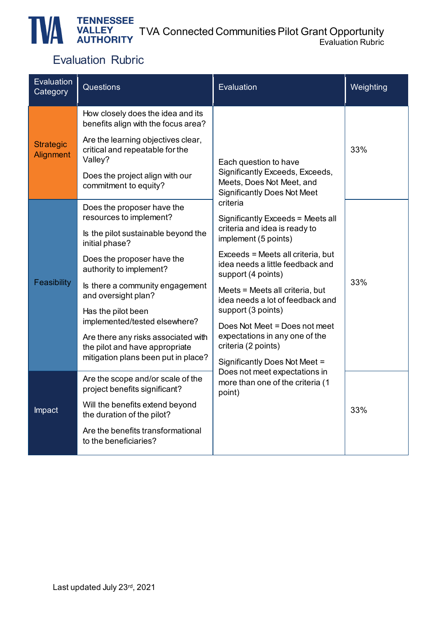#### TVA Connected Communities Pilot Grant Opportunity Evaluation Rubric

## Evaluation Rubric

| Evaluation<br>Category        | Questions                                                                                                    | Evaluation                                                                                         | Weighting |
|-------------------------------|--------------------------------------------------------------------------------------------------------------|----------------------------------------------------------------------------------------------------|-----------|
| <b>Strategic</b><br>Alignment | How closely does the idea and its<br>benefits align with the focus area?                                     |                                                                                                    | 33%       |
|                               | Are the learning objectives clear,<br>critical and repeatable for the<br>Valley?                             | Each question to have                                                                              |           |
|                               | Does the project align with our<br>commitment to equity?                                                     | Significantly Exceeds, Exceeds,<br>Meets, Does Not Meet, and<br><b>Significantly Does Not Meet</b> |           |
|                               | Does the proposer have the<br>resources to implement?                                                        | criteria<br>Significantly Exceeds = Meets all                                                      | 33%       |
|                               | Is the pilot sustainable beyond the<br>initial phase?                                                        | criteria and idea is ready to<br>implement (5 points)                                              |           |
|                               | Does the proposer have the<br>authority to implement?                                                        | Exceeds = Meets all criteria, but<br>idea needs a little feedback and<br>support (4 points)        |           |
| Feasibility                   | Is there a community engagement<br>and oversight plan?                                                       | Meets = Meets all criteria, but<br>idea needs a lot of feedback and                                |           |
|                               | Has the pilot been<br>implemented/tested elsewhere?                                                          | support (3 points)<br>Does Not Meet = Does not meet                                                |           |
|                               | Are there any risks associated with<br>the pilot and have appropriate<br>mitigation plans been put in place? | expectations in any one of the<br>criteria (2 points)                                              |           |
|                               |                                                                                                              | Significantly Does Not Meet =<br>Does not meet expectations in                                     |           |
|                               | Are the scope and/or scale of the<br>project benefits significant?                                           | more than one of the criteria (1<br>point)                                                         | 33%       |
| Impact                        | Will the benefits extend beyond<br>the duration of the pilot?                                                |                                                                                                    |           |
|                               | Are the benefits transformational<br>to the beneficiaries?                                                   |                                                                                                    |           |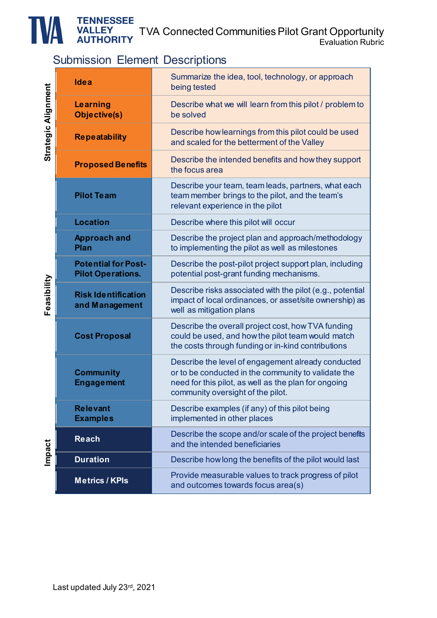TVA Connected Communities Pilot Grant Opportunity

Evaluation Rubric

### Submission Element Descriptions

| strategic Alignment<br><b>Feasibility</b><br><b>Impact</b> | Idea                                                                                                                                                          | Summarize the idea, tool, technology, or approach<br>being tested                                                                                                                                      |  |  |
|------------------------------------------------------------|---------------------------------------------------------------------------------------------------------------------------------------------------------------|--------------------------------------------------------------------------------------------------------------------------------------------------------------------------------------------------------|--|--|
|                                                            | Learning<br>Objective(s)                                                                                                                                      | Describe what we will learn from this pilot / problem to<br>be solved                                                                                                                                  |  |  |
|                                                            | <b>Repeatability</b>                                                                                                                                          | Describe how learnings from this pilot could be used<br>and scaled for the betterment of the Valley                                                                                                    |  |  |
|                                                            | <b>Proposed Benefits</b>                                                                                                                                      | Describe the intended benefits and how they support<br>the focus area                                                                                                                                  |  |  |
|                                                            | <b>Pilot Team</b>                                                                                                                                             | Describe your team, team leads, partners, what each<br>team member brings to the pilot, and the team's<br>relevant experience in the pilot                                                             |  |  |
|                                                            | <b>Location</b>                                                                                                                                               | Describe where this pilot will occur                                                                                                                                                                   |  |  |
|                                                            | <b>Approach and</b><br>Plan                                                                                                                                   | Describe the project plan and approach/methodology<br>to implementing the pilot as well as milestones                                                                                                  |  |  |
|                                                            | <b>Potential for Post-</b><br>Describe the post-pilot project support plan, including<br><b>Pilot Operations.</b><br>potential post-grant funding mechanisms. |                                                                                                                                                                                                        |  |  |
|                                                            | <b>Risk Identification</b><br>and Management                                                                                                                  | Describe risks associated with the pilot (e.g., potential<br>impact of local ordinances, or asset/site ownership) as<br>well as mitigation plans                                                       |  |  |
|                                                            | <b>Cost Proposal</b>                                                                                                                                          | Describe the overall project cost, how TVA funding<br>could be used, and how the pilot team would match<br>the costs through funding or in-kind contributions                                          |  |  |
|                                                            | <b>Community</b><br><b>Engagement</b>                                                                                                                         | Describe the level of engagement already conducted<br>or to be conducted in the community to validate the<br>need for this pilot, as well as the plan for ongoing<br>community oversight of the pilot. |  |  |
|                                                            | <b>Relevant</b><br><b>Examples</b>                                                                                                                            | Describe examples (if any) of this pilot being<br>implemented in other places                                                                                                                          |  |  |
|                                                            | <b>Reach</b>                                                                                                                                                  | Describe the scope and/or scale of the project benefits<br>and the intended beneficiaries                                                                                                              |  |  |
|                                                            | <b>Duration</b>                                                                                                                                               | Describe how long the benefits of the pilot would last                                                                                                                                                 |  |  |
|                                                            | <b>Metrics / KPIs</b>                                                                                                                                         | Provide measurable values to track progress of pilot<br>and outcomes towards focus area(s)                                                                                                             |  |  |

**Alignment** Ė **Strategic** 

**Feasibility** ان<br>التعال Ĥ

**Impact**